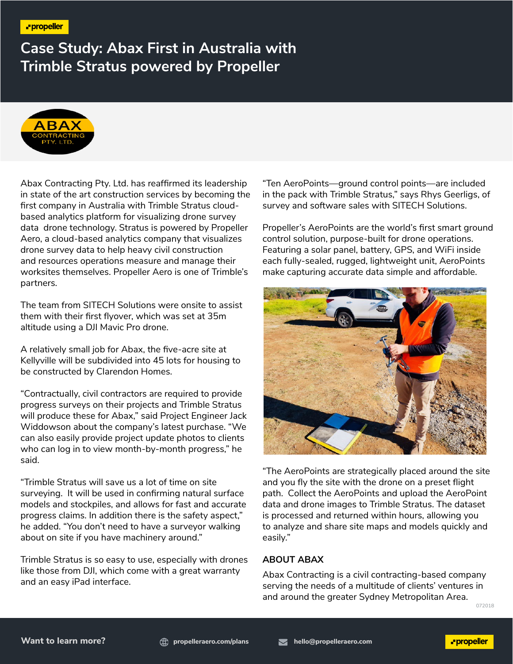**Case Study: Abax First in Australia with Trimble Stratus powered by Propeller**



Abax Contracting Pty. Ltd. has reaffirmed its leadership in state of the art construction services by becoming the first company in Australia with Trimble Stratus cloudbased analytics platform for visualizing drone survey data drone technology. Stratus is powered by Propeller Aero, a cloud-based analytics company that visualizes drone survey data to help heavy civil construction and resources operations measure and manage their worksites themselves. Propeller Aero is one of Trimble's partners.

The team from SITECH Solutions were onsite to assist them with their first flyover, which was set at 35m altitude using a DJI Mavic Pro drone.

A relatively small job for Abax, the five-acre site at Kellyville will be subdivided into 45 lots for housing to be constructed by Clarendon Homes.

"Contractually, civil contractors are required to provide progress surveys on their projects and Trimble Stratus will produce these for Abax," said Project Engineer Jack Widdowson about the company's latest purchase. "We can also easily provide project update photos to clients who can log in to view month-by-month progress," he said.

"Trimble Stratus will save us a lot of time on site surveying. It will be used in confirming natural surface models and stockpiles, and allows for fast and accurate progress claims. In addition there is the safety aspect," he added. "You don't need to have a surveyor walking about on site if you have machinery around."

Trimble Stratus is so easy to use, especially with drones like those from DJI, which come with a great warranty and an easy iPad interface.

"Ten AeroPoints—ground control points—are included in the pack with Trimble Stratus," says Rhys Geerligs, of survey and software sales with SITECH Solutions.

Propeller's AeroPoints are the world's first smart ground control solution, purpose-built for drone operations. Featuring a solar panel, battery, GPS, and WiFi inside each fully-sealed, rugged, lightweight unit, AeroPoints make capturing accurate data simple and affordable.



"The AeroPoints are strategically placed around the site and you fly the site with the drone on a preset flight path. Collect the AeroPoints and upload the AeroPoint data and drone images to Trimble Stratus. The dataset is processed and returned within hours, allowing you to analyze and share site maps and models quickly and easily."

#### **ABOUT ABAX**

Abax Contracting is a civil contracting-based company serving the needs of a multitude of clients' ventures in and around the greater Sydney Metropolitan Area.

072018